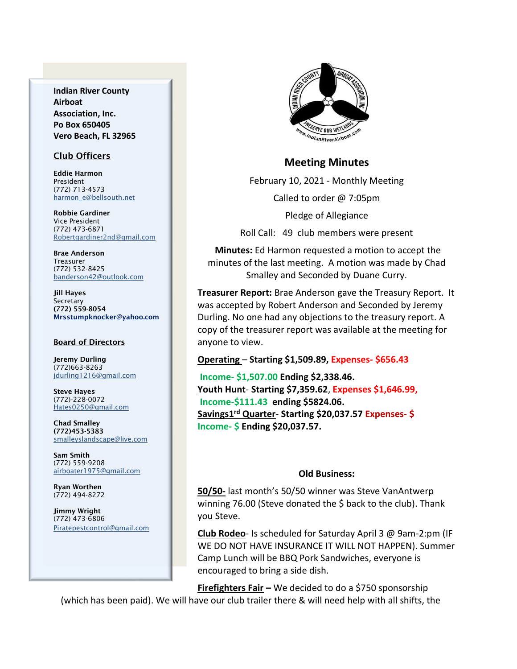**Indian River County Airboat Association, Inc. Po Box 650405 Vero Beach, FL 32965**

### Club Officers

Eddie Harmon President (772) 713-4573 [harmon\\_e@bellsouth.net](mailto:dougflood772@aol.com)

Robbie Gardiner Vice President (772) 473-6871 [Robertgardiner2nd@gmail.com](mailto:Robertgardiner2nd@gmail.com)

Brae Anderson Treasurer (772) 532-8425 [banderson42@outlook.com](mailto:banderson42@outlook.com)

Jill Hayes **Secretary** (772) 559-8054 Mrsstumpknocker@yahoo.com

#### Board of Directors

Jeremy Durling (772)663-8263 [jdurling1216@gmail.com](mailto:shufamil@peoplepc.com)

Steve Hayes (772)-228-0072 Hates0250@gmail.com

Chad Smalley (772)453-5383 smalleyslandscape@live.com

Sam Smith (772) 559-9208 [airboater1975@gmail.com](mailto:Airboater22@gmail.com)

Ryan Worthen (772) 494-8272

Jimmy Wright (772) 473-6806 Piratepestcontrol@gmail.com



### **Meeting Minutes**

February 10, 2021 - Monthly Meeting

Called to order @ 7:05pm

Pledge of Allegiance

Roll Call: 49 club members were present

**Minutes:** Ed Harmon requested a motion to accept the minutes of the last meeting. A motion was made by Chad Smalley and Seconded by Duane Curry.

**Treasurer Report:** Brae Anderson gave the Treasury Report. It was accepted by Robert Anderson and Seconded by Jeremy Durling. No one had any objections to the treasury report. A copy of the treasurer report was available at the meeting for anyone to view.

### **Operating** – **Starting \$1,509.89, Expenses- \$656.43**

**Income- \$1,507.00 Ending \$2,338.46. Youth Hunt**- **Starting \$7,359.62**, **Expenses \$1,646.99, Income-\$111.43 ending \$5824.06. Savings1 rd Quarter**- **Starting \$20,037.57 Expenses- \$ Income- \$ Ending \$20,037.57.**

### **Old Business:**

**50/50-** last month's 50/50 winner was Steve VanAntwerp winning 76.00 (Steve donated the \$ back to the club). Thank you Steve.

**Club Rodeo**- Is scheduled for Saturday April 3 @ 9am-2:pm (IF WE DO NOT HAVE INSURANCE IT WILL NOT HAPPEN). Summer Camp Lunch will be BBQ Pork Sandwiches, everyone is encouraged to bring a side dish.

**Firefighters Fair –** We decided to do a \$750 sponsorship

(which has been paid). We will have our club trailer there & will need help with all shifts, the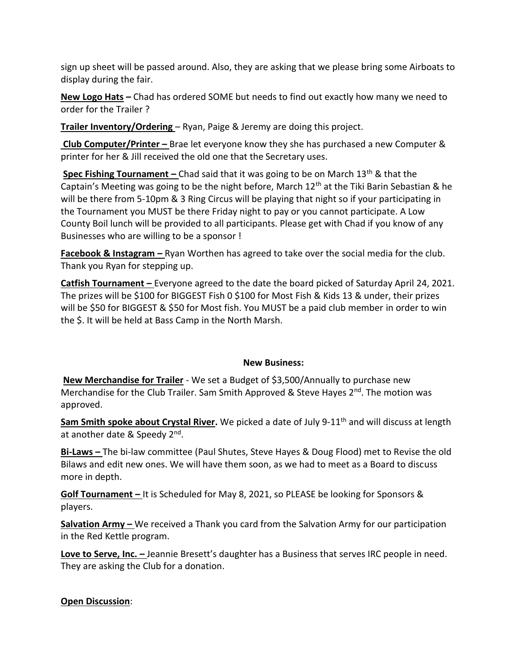sign up sheet will be passed around. Also, they are asking that we please bring some Airboats to display during the fair.

**New Logo Hats –** Chad has ordered SOME but needs to find out exactly how many we need to order for the Trailer ?

**Trailer Inventory/Ordering** – Ryan, Paige & Jeremy are doing this project.

**Club Computer/Printer –** Brae let everyone know they she has purchased a new Computer & printer for her & Jill received the old one that the Secretary uses.

**Spec Fishing Tournament** – Chad said that it was going to be on March 13<sup>th</sup> & that the Captain's Meeting was going to be the night before, March 12<sup>th</sup> at the Tiki Barin Sebastian & he will be there from 5-10pm & 3 Ring Circus will be playing that night so if your participating in the Tournament you MUST be there Friday night to pay or you cannot participate. A Low County Boil lunch will be provided to all participants. Please get with Chad if you know of any Businesses who are willing to be a sponsor !

**Facebook & Instagram –** Ryan Worthen has agreed to take over the social media for the club. Thank you Ryan for stepping up.

**Catfish Tournament –** Everyone agreed to the date the board picked of Saturday April 24, 2021. The prizes will be \$100 for BIGGEST Fish 0 \$100 for Most Fish & Kids 13 & under, their prizes will be \$50 for BIGGEST & \$50 for Most fish. You MUST be a paid club member in order to win the \$. It will be held at Bass Camp in the North Marsh.

# **New Business:**

**New Merchandise for Trailer** - We set a Budget of \$3,500/Annually to purchase new Merchandise for the Club Trailer. Sam Smith Approved & Steve Hayes  $2^{nd}$ . The motion was approved.

Sam Smith spoke about Crystal River. We picked a date of July 9-11<sup>th</sup> and will discuss at length at another date & Speedy 2<sup>nd</sup>.

**Bi-Laws –** The bi-law committee (Paul Shutes, Steve Hayes & Doug Flood) met to Revise the old Bilaws and edit new ones. We will have them soon, as we had to meet as a Board to discuss more in depth.

**Golf Tournament –** It is Scheduled for May 8, 2021, so PLEASE be looking for Sponsors & players.

**Salvation Army –** We received a Thank you card from the Salvation Army for our participation in the Red Kettle program.

**Love to Serve, Inc. –** Jeannie Bresett's daughter has a Business that serves IRC people in need. They are asking the Club for a donation.

# **Open Discussion**: